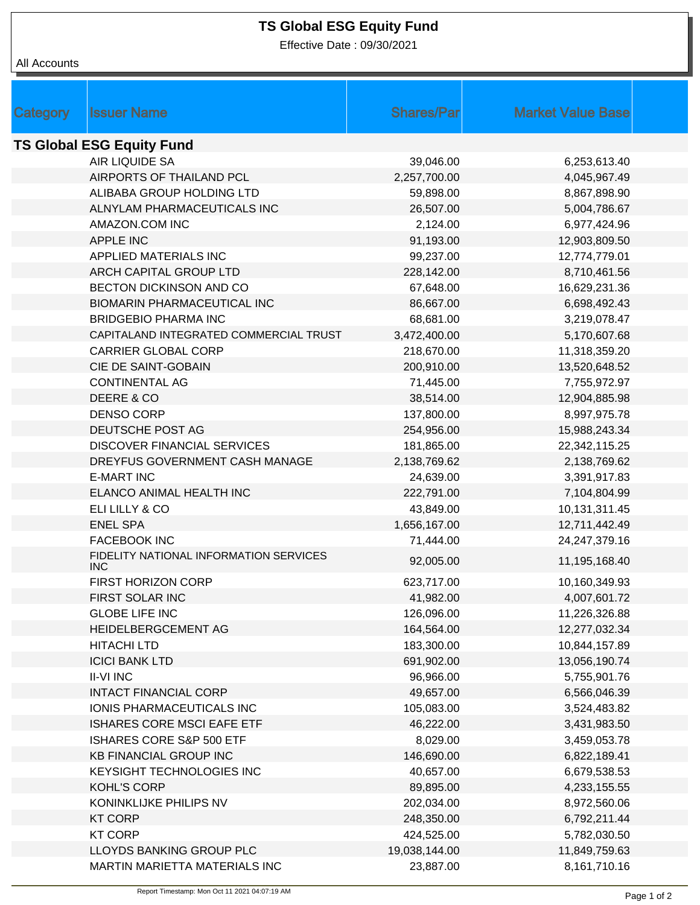## **TS Global ESG Equity Fund**

Effective Date : 09/30/2021

All Accounts

| Category                         | <b>Issuer Name</b>                                   | <b>Shares/Par</b> | <b>Market Value Base</b> |  |  |
|----------------------------------|------------------------------------------------------|-------------------|--------------------------|--|--|
| <b>TS Global ESG Equity Fund</b> |                                                      |                   |                          |  |  |
|                                  | AIR LIQUIDE SA                                       | 39,046.00         | 6,253,613.40             |  |  |
|                                  | AIRPORTS OF THAILAND PCL                             | 2,257,700.00      | 4,045,967.49             |  |  |
|                                  | ALIBABA GROUP HOLDING LTD                            | 59,898.00         | 8,867,898.90             |  |  |
|                                  | ALNYLAM PHARMACEUTICALS INC                          | 26,507.00         | 5,004,786.67             |  |  |
|                                  | AMAZON.COM INC                                       | 2,124.00          | 6,977,424.96             |  |  |
|                                  | APPLE INC                                            | 91,193.00         | 12,903,809.50            |  |  |
|                                  | APPLIED MATERIALS INC                                | 99,237.00         | 12,774,779.01            |  |  |
|                                  | ARCH CAPITAL GROUP LTD                               | 228,142.00        | 8,710,461.56             |  |  |
|                                  | BECTON DICKINSON AND CO                              | 67,648.00         | 16,629,231.36            |  |  |
|                                  | <b>BIOMARIN PHARMACEUTICAL INC</b>                   | 86,667.00         | 6,698,492.43             |  |  |
|                                  | <b>BRIDGEBIO PHARMA INC</b>                          | 68,681.00         | 3,219,078.47             |  |  |
|                                  | CAPITALAND INTEGRATED COMMERCIAL TRUST               | 3,472,400.00      | 5,170,607.68             |  |  |
|                                  | <b>CARRIER GLOBAL CORP</b>                           | 218,670.00        | 11,318,359.20            |  |  |
|                                  | CIE DE SAINT-GOBAIN                                  | 200,910.00        | 13,520,648.52            |  |  |
|                                  | <b>CONTINENTAL AG</b>                                | 71,445.00         | 7,755,972.97             |  |  |
|                                  | DEERE & CO                                           | 38,514.00         | 12,904,885.98            |  |  |
|                                  | <b>DENSO CORP</b>                                    | 137,800.00        | 8,997,975.78             |  |  |
|                                  | DEUTSCHE POST AG                                     | 254,956.00        | 15,988,243.34            |  |  |
|                                  | <b>DISCOVER FINANCIAL SERVICES</b>                   | 181,865.00        | 22,342,115.25            |  |  |
|                                  | DREYFUS GOVERNMENT CASH MANAGE                       | 2,138,769.62      | 2,138,769.62             |  |  |
|                                  | <b>E-MART INC</b>                                    | 24,639.00         | 3,391,917.83             |  |  |
|                                  | ELANCO ANIMAL HEALTH INC                             | 222,791.00        | 7,104,804.99             |  |  |
|                                  | ELI LILLY & CO                                       | 43,849.00         | 10,131,311.45            |  |  |
|                                  | <b>ENEL SPA</b>                                      | 1,656,167.00      | 12,711,442.49            |  |  |
|                                  | <b>FACEBOOK INC</b>                                  | 71,444.00         | 24,247,379.16            |  |  |
|                                  | FIDELITY NATIONAL INFORMATION SERVICES<br><b>INC</b> | 92,005.00         | 11,195,168.40            |  |  |
|                                  | FIRST HORIZON CORP                                   | 623,717.00        | 10,160,349.93            |  |  |
|                                  | FIRST SOLAR INC                                      | 41,982.00         | 4,007,601.72             |  |  |
|                                  | <b>GLOBE LIFE INC</b>                                | 126,096.00        | 11,226,326.88            |  |  |
|                                  | HEIDELBERGCEMENT AG                                  | 164,564.00        | 12,277,032.34            |  |  |
|                                  | <b>HITACHI LTD</b>                                   | 183,300.00        | 10,844,157.89            |  |  |
|                                  | <b>ICICI BANK LTD</b>                                | 691,902.00        | 13,056,190.74            |  |  |
|                                  | <b>II-VI INC</b>                                     | 96,966.00         | 5,755,901.76             |  |  |
|                                  | <b>INTACT FINANCIAL CORP</b>                         | 49,657.00         | 6,566,046.39             |  |  |
|                                  | IONIS PHARMACEUTICALS INC                            | 105,083.00        | 3,524,483.82             |  |  |
|                                  | ISHARES CORE MSCI EAFE ETF                           | 46,222.00         | 3,431,983.50             |  |  |
|                                  | ISHARES CORE S&P 500 ETF                             | 8,029.00          | 3,459,053.78             |  |  |
|                                  | <b>KB FINANCIAL GROUP INC</b>                        | 146,690.00        | 6,822,189.41             |  |  |
|                                  | KEYSIGHT TECHNOLOGIES INC                            | 40,657.00         | 6,679,538.53             |  |  |
|                                  | <b>KOHL'S CORP</b>                                   | 89,895.00         | 4,233,155.55             |  |  |
|                                  | KONINKLIJKE PHILIPS NV                               | 202,034.00        | 8,972,560.06             |  |  |
|                                  | <b>KT CORP</b>                                       | 248,350.00        | 6,792,211.44             |  |  |
|                                  | <b>KT CORP</b>                                       | 424,525.00        | 5,782,030.50             |  |  |
|                                  | LLOYDS BANKING GROUP PLC                             | 19,038,144.00     | 11,849,759.63            |  |  |
|                                  | <b>MARTIN MARIETTA MATERIALS INC</b>                 | 23,887.00         | 8,161,710.16             |  |  |